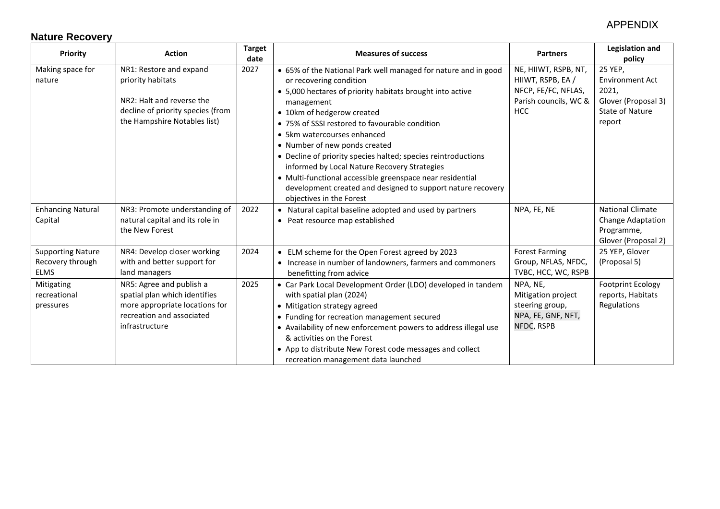### APPENDIX

# **Nature Recovery**

| <b>Priority</b>                                             | <b>Action</b>                                                                                                                                  | <b>Target</b><br>date | <b>Measures of success</b>                                                                                                                                                                                                                                                                                                                                                                                                                                                                                                                                                                    | <b>Partners</b>                                                                                         | <b>Legislation and</b><br>policy                                                                      |
|-------------------------------------------------------------|------------------------------------------------------------------------------------------------------------------------------------------------|-----------------------|-----------------------------------------------------------------------------------------------------------------------------------------------------------------------------------------------------------------------------------------------------------------------------------------------------------------------------------------------------------------------------------------------------------------------------------------------------------------------------------------------------------------------------------------------------------------------------------------------|---------------------------------------------------------------------------------------------------------|-------------------------------------------------------------------------------------------------------|
| Making space for<br>nature                                  | NR1: Restore and expand<br>priority habitats<br>NR2: Halt and reverse the<br>decline of priority species (from<br>the Hampshire Notables list) | 2027                  | • 65% of the National Park well managed for nature and in good<br>or recovering condition<br>• 5,000 hectares of priority habitats brought into active<br>management<br>• 10km of hedgerow created<br>• 75% of SSSI restored to favourable condition<br>• 5km watercourses enhanced<br>• Number of new ponds created<br>• Decline of priority species halted; species reintroductions<br>informed by Local Nature Recovery Strategies<br>· Multi-functional accessible greenspace near residential<br>development created and designed to support nature recovery<br>objectives in the Forest | NE, HIIWT, RSPB, NT,<br>HIIWT, RSPB, EA /<br>NFCP, FE/FC, NFLAS,<br>Parish councils, WC &<br><b>HCC</b> | 25 YEP,<br><b>Environment Act</b><br>2021,<br>Glover (Proposal 3)<br><b>State of Nature</b><br>report |
| <b>Enhancing Natural</b><br>Capital                         | NR3: Promote understanding of<br>natural capital and its role in<br>the New Forest                                                             | 2022                  | • Natural capital baseline adopted and used by partners<br>• Peat resource map established                                                                                                                                                                                                                                                                                                                                                                                                                                                                                                    | NPA, FE, NE                                                                                             | <b>National Climate</b><br><b>Change Adaptation</b><br>Programme,<br>Glover (Proposal 2)              |
| <b>Supporting Nature</b><br>Recovery through<br><b>ELMS</b> | NR4: Develop closer working<br>with and better support for<br>land managers                                                                    | 2024                  | • ELM scheme for the Open Forest agreed by 2023<br>• Increase in number of landowners, farmers and commoners<br>benefitting from advice                                                                                                                                                                                                                                                                                                                                                                                                                                                       | <b>Forest Farming</b><br>Group, NFLAS, NFDC,<br>TVBC, HCC, WC, RSPB                                     | 25 YEP, Glover<br>(Proposal 5)                                                                        |
| Mitigating<br>recreational<br>pressures                     | NR5: Agree and publish a<br>spatial plan which identifies<br>more appropriate locations for<br>recreation and associated<br>infrastructure     | 2025                  | • Car Park Local Development Order (LDO) developed in tandem<br>with spatial plan (2024)<br>• Mitigation strategy agreed<br>• Funding for recreation management secured<br>• Availability of new enforcement powers to address illegal use<br>& activities on the Forest<br>• App to distribute New Forest code messages and collect<br>recreation management data launched                                                                                                                                                                                                                   | NPA, NE,<br>Mitigation project<br>steering group,<br>NPA, FE, GNF, NFT,<br>NFDC, RSPB                   | <b>Footprint Ecology</b><br>reports, Habitats<br>Regulations                                          |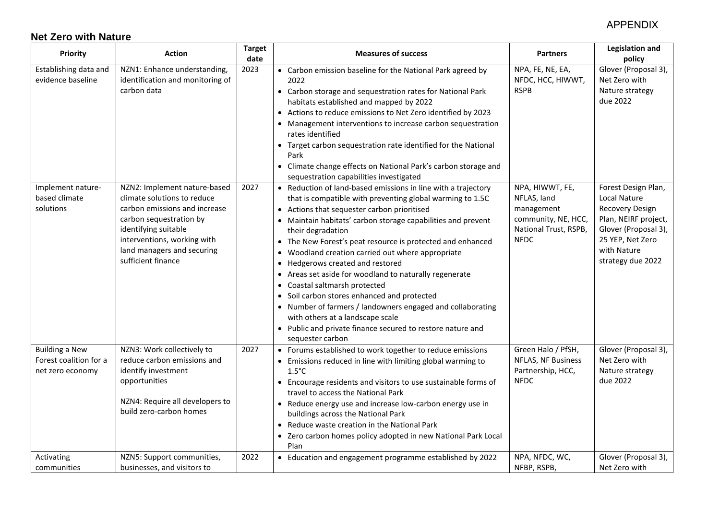#### APPENDIX

### **Net Zero with Nature**

| Priority                                                            | <b>Action</b>                                                                                                                                                                                                                      | <b>Target</b><br>date | <b>Measures of success</b>                                                                                                                                                                                                                                                                                                                                                                                                                                                                                                                                                                                                                                                                                                                        | <b>Partners</b>                                                                                             | <b>Legislation and</b><br>policy                                                                                                                               |
|---------------------------------------------------------------------|------------------------------------------------------------------------------------------------------------------------------------------------------------------------------------------------------------------------------------|-----------------------|---------------------------------------------------------------------------------------------------------------------------------------------------------------------------------------------------------------------------------------------------------------------------------------------------------------------------------------------------------------------------------------------------------------------------------------------------------------------------------------------------------------------------------------------------------------------------------------------------------------------------------------------------------------------------------------------------------------------------------------------------|-------------------------------------------------------------------------------------------------------------|----------------------------------------------------------------------------------------------------------------------------------------------------------------|
| Establishing data and<br>evidence baseline                          | NZN1: Enhance understanding,<br>identification and monitoring of<br>carbon data                                                                                                                                                    | 2023                  | • Carbon emission baseline for the National Park agreed by<br>2022<br>• Carbon storage and sequestration rates for National Park<br>habitats established and mapped by 2022<br>• Actions to reduce emissions to Net Zero identified by 2023<br>• Management interventions to increase carbon sequestration<br>rates identified<br>• Target carbon sequestration rate identified for the National<br>Park<br>• Climate change effects on National Park's carbon storage and<br>sequestration capabilities investigated                                                                                                                                                                                                                             | NPA, FE, NE, EA,<br>NFDC, HCC, HIWWT,<br><b>RSPB</b>                                                        | Glover (Proposal 3),<br>Net Zero with<br>Nature strategy<br>due 2022                                                                                           |
| Implement nature-<br>based climate<br>solutions                     | NZN2: Implement nature-based<br>climate solutions to reduce<br>carbon emissions and increase<br>carbon sequestration by<br>identifying suitable<br>interventions, working with<br>land managers and securing<br>sufficient finance | 2027                  | • Reduction of land-based emissions in line with a trajectory<br>that is compatible with preventing global warming to 1.5C<br>• Actions that sequester carbon prioritised<br>• Maintain habitats' carbon storage capabilities and prevent<br>their degradation<br>• The New Forest's peat resource is protected and enhanced<br>• Woodland creation carried out where appropriate<br>• Hedgerows created and restored<br>• Areas set aside for woodland to naturally regenerate<br>Coastal saltmarsh protected<br>• Soil carbon stores enhanced and protected<br>• Number of farmers / landowners engaged and collaborating<br>with others at a landscape scale<br>• Public and private finance secured to restore nature and<br>sequester carbon | NPA, HIWWT, FE,<br>NFLAS, land<br>management<br>community, NE, HCC,<br>National Trust, RSPB,<br><b>NFDC</b> | Forest Design Plan,<br>Local Nature<br>Recovery Design<br>Plan, NEIRF project,<br>Glover (Proposal 3),<br>25 YEP, Net Zero<br>with Nature<br>strategy due 2022 |
| <b>Building a New</b><br>Forest coalition for a<br>net zero economy | NZN3: Work collectively to<br>reduce carbon emissions and<br>identify investment<br>opportunities<br>NZN4: Require all developers to<br>build zero-carbon homes                                                                    | 2027                  | • Forums established to work together to reduce emissions<br>• Emissions reduced in line with limiting global warming to<br>$1.5^{\circ}$ C<br>• Encourage residents and visitors to use sustainable forms of<br>travel to access the National Park<br>• Reduce energy use and increase low-carbon energy use in<br>buildings across the National Park<br>• Reduce waste creation in the National Park<br>• Zero carbon homes policy adopted in new National Park Local<br>Plan                                                                                                                                                                                                                                                                   | Green Halo / PfSH,<br>NFLAS, NF Business<br>Partnership, HCC,<br><b>NFDC</b>                                | Glover (Proposal 3),<br>Net Zero with<br>Nature strategy<br>due 2022                                                                                           |
| Activating<br>communities                                           | NZN5: Support communities,<br>businesses, and visitors to                                                                                                                                                                          | 2022                  | • Education and engagement programme established by 2022                                                                                                                                                                                                                                                                                                                                                                                                                                                                                                                                                                                                                                                                                          | NPA, NFDC, WC,<br>NFBP, RSPB,                                                                               | Glover (Proposal 3),<br>Net Zero with                                                                                                                          |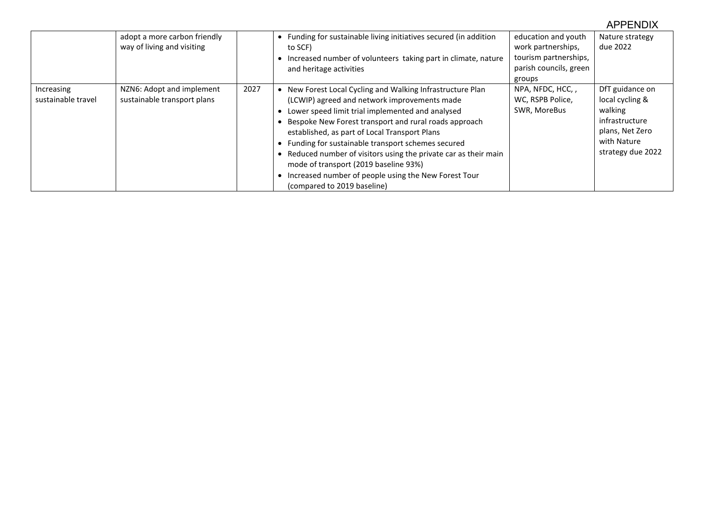|                                  |                                                            |      |                                                                                                                                                                                                                                                                                                                                                                                                                                                                                                                                       |                                                                                                        | <b>APPENDIX</b>                                                                                                        |
|----------------------------------|------------------------------------------------------------|------|---------------------------------------------------------------------------------------------------------------------------------------------------------------------------------------------------------------------------------------------------------------------------------------------------------------------------------------------------------------------------------------------------------------------------------------------------------------------------------------------------------------------------------------|--------------------------------------------------------------------------------------------------------|------------------------------------------------------------------------------------------------------------------------|
|                                  | adopt a more carbon friendly<br>way of living and visiting |      | • Funding for sustainable living initiatives secured (in addition<br>to SCF)<br>• Increased number of volunteers taking part in climate, nature<br>and heritage activities                                                                                                                                                                                                                                                                                                                                                            | education and youth<br>work partnerships,<br>tourism partnerships,<br>parish councils, green<br>groups | Nature strategy<br>due 2022                                                                                            |
| Increasing<br>sustainable travel | NZN6: Adopt and implement<br>sustainable transport plans   | 2027 | • New Forest Local Cycling and Walking Infrastructure Plan<br>(LCWIP) agreed and network improvements made<br>• Lower speed limit trial implemented and analysed<br>Bespoke New Forest transport and rural roads approach<br>established, as part of Local Transport Plans<br>• Funding for sustainable transport schemes secured<br>• Reduced number of visitors using the private car as their main<br>mode of transport (2019 baseline 93%)<br>Increased number of people using the New Forest Tour<br>(compared to 2019 baseline) | NPA, NFDC, HCC, ,<br>WC, RSPB Police,<br>SWR, MoreBus                                                  | DfT guidance on<br>local cycling &<br>walking<br>infrastructure<br>plans, Net Zero<br>with Nature<br>strategy due 2022 |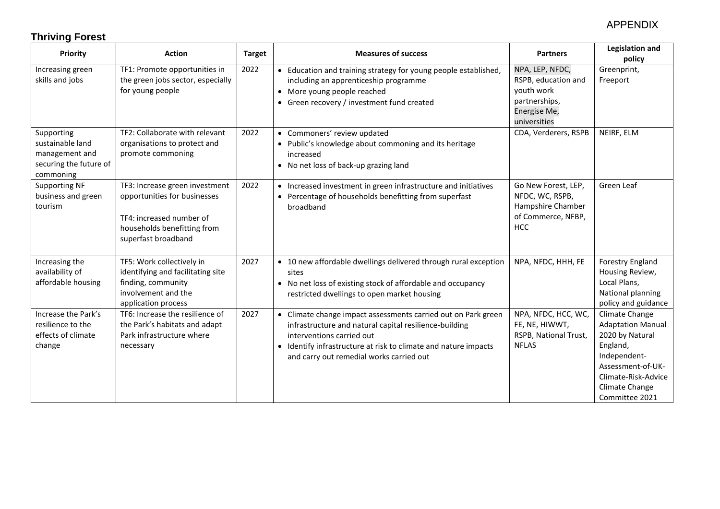# **Thriving Forest**

| <b>Priority</b>                                                                         | <b>Action</b>                                                                                                                                    | <b>Target</b> | <b>Measures of success</b>                                                                                                                                                                                                                                          | <b>Partners</b>                                                                                       | <b>Legislation and</b><br>policy                                                                                                                                          |
|-----------------------------------------------------------------------------------------|--------------------------------------------------------------------------------------------------------------------------------------------------|---------------|---------------------------------------------------------------------------------------------------------------------------------------------------------------------------------------------------------------------------------------------------------------------|-------------------------------------------------------------------------------------------------------|---------------------------------------------------------------------------------------------------------------------------------------------------------------------------|
| Increasing green<br>skills and jobs                                                     | TF1: Promote opportunities in<br>the green jobs sector, especially<br>for young people                                                           | 2022          | • Education and training strategy for young people established,<br>including an apprenticeship programme<br>• More young people reached<br>• Green recovery / investment fund created                                                                               | NPA, LEP, NFDC,<br>RSPB, education and<br>youth work<br>partnerships,<br>Energise Me,<br>universities | Greenprint,<br>Freeport                                                                                                                                                   |
| Supporting<br>sustainable land<br>management and<br>securing the future of<br>commoning | TF2: Collaborate with relevant<br>organisations to protect and<br>promote commoning                                                              | 2022          | • Commoners' review updated<br>• Public's knowledge about commoning and its heritage<br>increased<br>• No net loss of back-up grazing land                                                                                                                          | CDA, Verderers, RSPB                                                                                  | NEIRF, ELM                                                                                                                                                                |
| <b>Supporting NF</b><br>business and green<br>tourism                                   | TF3: Increase green investment<br>opportunities for businesses<br>TF4: increased number of<br>households benefitting from<br>superfast broadband | 2022          | • Increased investment in green infrastructure and initiatives<br>• Percentage of households benefitting from superfast<br>broadband                                                                                                                                | Go New Forest, LEP,<br>NFDC, WC, RSPB,<br>Hampshire Chamber<br>of Commerce, NFBP,<br><b>HCC</b>       | Green Leaf                                                                                                                                                                |
| Increasing the<br>availability of<br>affordable housing                                 | TF5: Work collectively in<br>identifying and facilitating site<br>finding, community<br>involvement and the<br>application process               | 2027          | • 10 new affordable dwellings delivered through rural exception<br>sites<br>• No net loss of existing stock of affordable and occupancy<br>restricted dwellings to open market housing                                                                              | NPA, NFDC, HHH, FE                                                                                    | Forestry England<br>Housing Review,<br>Local Plans,<br>National planning<br>policy and guidance                                                                           |
| Increase the Park's<br>resilience to the<br>effects of climate<br>change                | TF6: Increase the resilience of<br>the Park's habitats and adapt<br>Park infrastructure where<br>necessary                                       | 2027          | • Climate change impact assessments carried out on Park green<br>infrastructure and natural capital resilience-building<br>interventions carried out<br>• Identify infrastructure at risk to climate and nature impacts<br>and carry out remedial works carried out | NPA, NFDC, HCC, WC,<br>FE, NE, HIWWT,<br>RSPB, National Trust,<br><b>NFLAS</b>                        | Climate Change<br><b>Adaptation Manual</b><br>2020 by Natural<br>England,<br>Independent-<br>Assessment-of-UK-<br>Climate-Risk-Advice<br>Climate Change<br>Committee 2021 |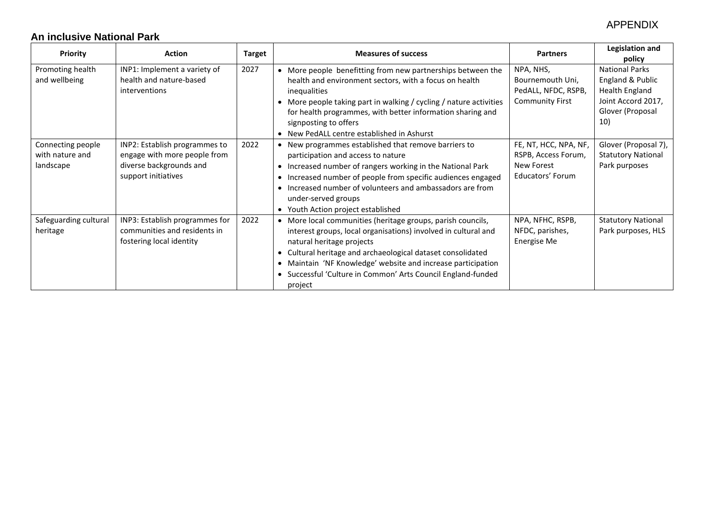# **An inclusive National Park**

| <b>Priority</b>                                   | <b>Action</b>                                                                                                   | <b>Target</b> | <b>Measures of success</b>                                                                                                                                                                                                                                                                                                                                   | <b>Partners</b>                                                                | Legislation and<br>policy                                                                                           |
|---------------------------------------------------|-----------------------------------------------------------------------------------------------------------------|---------------|--------------------------------------------------------------------------------------------------------------------------------------------------------------------------------------------------------------------------------------------------------------------------------------------------------------------------------------------------------------|--------------------------------------------------------------------------------|---------------------------------------------------------------------------------------------------------------------|
| Promoting health<br>and wellbeing                 | INP1: Implement a variety of<br>health and nature-based<br>interventions                                        | 2027          | • More people benefitting from new partnerships between the<br>health and environment sectors, with a focus on health<br>inequalities<br>More people taking part in walking / cycling / nature activities<br>for health programmes, with better information sharing and<br>signposting to offers<br>• New PedALL centre established in Ashurst               | NPA, NHS,<br>Bournemouth Uni,<br>PedALL, NFDC, RSPB,<br><b>Community First</b> | <b>National Parks</b><br>England & Public<br><b>Health England</b><br>Joint Accord 2017,<br>Glover (Proposal<br>10) |
| Connecting people<br>with nature and<br>landscape | INP2: Establish programmes to<br>engage with more people from<br>diverse backgrounds and<br>support initiatives | 2022          | New programmes established that remove barriers to<br>participation and access to nature<br>• Increased number of rangers working in the National Park<br>Increased number of people from specific audiences engaged<br>• Increased number of volunteers and ambassadors are from<br>under-served groups<br>• Youth Action project established               | FE, NT, HCC, NPA, NF,<br>RSPB, Access Forum,<br>New Forest<br>Educators' Forum | Glover (Proposal 7),<br><b>Statutory National</b><br>Park purposes                                                  |
| Safeguarding cultural<br>heritage                 | INP3: Establish programmes for<br>communities and residents in<br>fostering local identity                      | 2022          | More local communities (heritage groups, parish councils,<br>interest groups, local organisations) involved in cultural and<br>natural heritage projects<br>Cultural heritage and archaeological dataset consolidated<br>Maintain 'NF Knowledge' website and increase participation<br>Successful 'Culture in Common' Arts Council England-funded<br>project | NPA, NFHC, RSPB,<br>NFDC, parishes,<br>Energise Me                             | <b>Statutory National</b><br>Park purposes, HLS                                                                     |